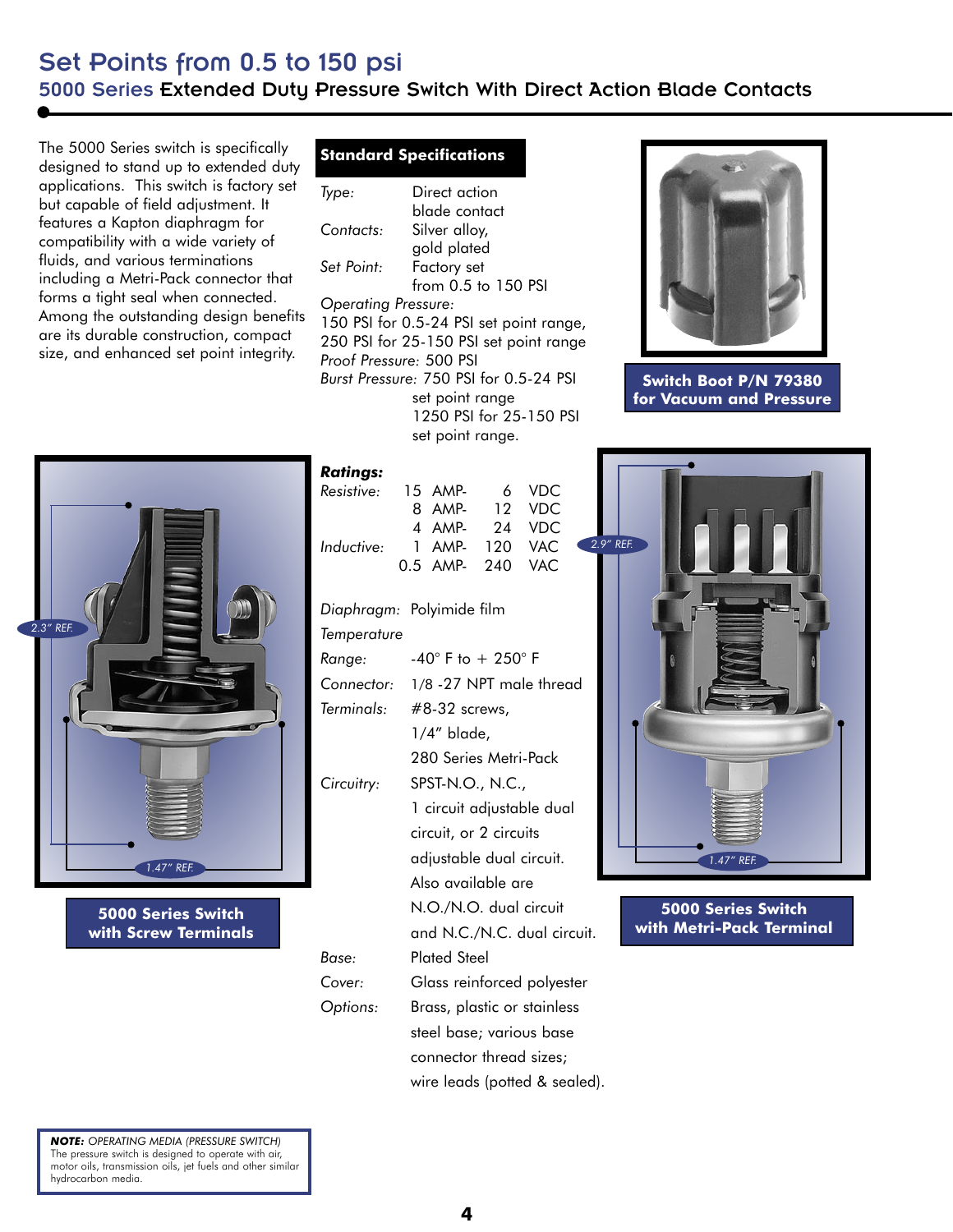## Set Points from 0.5 to 150 psi 5000 Series Extended Duty Pressure Switch With Direct Action Blade Contacts

The 5000 Series switch is specifically designed to stand up to extended duty applications. This switch is factory set but capable of field adjustment. It features a Kapton diaphragm for compatibility with a wide variety of fluids, and various terminations including a Metri-Pack connector that forms a tight seal when connected. Among the outstanding design benefits are its durable construction, compact size, and enhanced set point integrity.

## *Ratings:*



**5000 Series Switch with Screw Terminals**

|                                         | <b>Standard Specifications</b> |  |  |  |
|-----------------------------------------|--------------------------------|--|--|--|
| lype:                                   | Direct action                  |  |  |  |
|                                         | blade contact                  |  |  |  |
| Contacts:                               | Silver alloy,                  |  |  |  |
|                                         | gold plated                    |  |  |  |
| Set Point:                              | Factory set                    |  |  |  |
|                                         | from $0.5$ to $150$ PSI        |  |  |  |
| <b>Operating Pressure:</b>              |                                |  |  |  |
| 150 PSI for 0.5-24 PSI set point range, |                                |  |  |  |
| 250 PSI for 25-150 PSI set point range  |                                |  |  |  |
| Proof Pressure: 500 PSI                 |                                |  |  |  |
| Burst Pressure: 750 PSI for 0.5-24 PSI  |                                |  |  |  |
| set point range                         |                                |  |  |  |
| 1250 PSI for 25-150 PSI                 |                                |  |  |  |

set point range.

| Katıngs:                  |                                        |               |                                 |     |  |  |
|---------------------------|----------------------------------------|---------------|---------------------------------|-----|--|--|
| Resistive:                | 15 AMP-<br>8 AMP-<br>4 AMP-            | 6<br>12<br>24 | <b>VDC</b><br>VDC<br><b>VDC</b> |     |  |  |
| Inductive:                | 1 AMP- 120<br>0.5 AMP- 240             |               | <b>VAC</b><br><b>VAC</b>        | 2.9 |  |  |
| Diaphragm: Polyimide film |                                        |               |                                 |     |  |  |
| Temperature               |                                        |               |                                 |     |  |  |
| Range:                    | -40 $^{\circ}$ F to + 250 $^{\circ}$ F |               |                                 |     |  |  |
| Connector:                | 1/8 - 27 NPT male thread               |               |                                 |     |  |  |
| Terminals:                | $#8-32$ screws,                        |               |                                 |     |  |  |
|                           | $1/4''$ blade,                         |               |                                 |     |  |  |
|                           | 280 Series Metri-Pack                  |               |                                 |     |  |  |
| Circuitry:                | SPST-N.O., N.C.,                       |               |                                 |     |  |  |
|                           | 1 circuit adjustable dual              |               |                                 |     |  |  |
|                           | circuit, or 2 circuits                 |               |                                 |     |  |  |
|                           | adjustable dual circuit.               |               |                                 |     |  |  |
|                           | Also available are                     |               |                                 |     |  |  |
|                           | N.O./N.O. dual circuit                 |               |                                 |     |  |  |
|                           | and N.C./N.C. dual circuit.            |               |                                 |     |  |  |
| Base:                     | <b>Plated Steel</b>                    |               |                                 |     |  |  |
| Cover:                    | Glass reinforced polyester             |               |                                 |     |  |  |
| Options:                  | Brass, plastic or stainless            |               |                                 |     |  |  |
|                           | steel base; various base               |               |                                 |     |  |  |
|                           | connector thread sizes;                |               |                                 |     |  |  |
|                           | wire leads (potted & sealed).          |               |                                 |     |  |  |
|                           |                                        |               |                                 |     |  |  |



**Switch Boot P/N 79380 for Vacuum and Pressure**



**5000 Series Switch with Metri-Pack Terminal**

*NOTE: OPERATING MEDIA (PRESSURE SWITCH)* The pressure switch is designed to operate with air, motor oils, transmission oils, jet fuels and other similar hydrocarbon media.